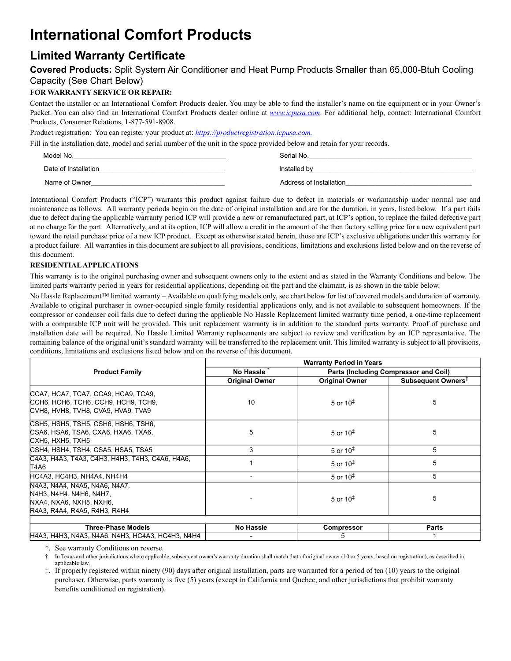# **International Comfort Products**

## **Limited Warranty Certificate**

### **Covered Products:** Split System Air Conditioner and Heat Pump Products Smaller than 65,000-Btuh Cooling Capacity (See Chart Below)

### **FOR WARRANTY SERVICE OR REPAIR:**

Contact the installer or an International Comfort Products dealer. You may be able to find the installer's name on the equipment or in your Owner's Packet. You can also find an International Comfort Products dealer online at *www.icpusa.com*. For additional help, contact: International Comfort Products, Consumer Relations, 1-877-591-8908.

Product registration: You can register your product at: *https://productregistration.icpusa.com.*

Fill in the installation date, model and serial number of the unit in the space provided below and retain for your records.

| Model No.            | Serial No.              |
|----------------------|-------------------------|
| Date of Installation | Installed by            |
| Name of Owner        | Address of Installation |

International Comfort Products ("ICP") warrants this product against failure due to defect in materials or workmanship under normal use and maintenance as follows. All warranty periods begin on the date of original installation and are for the duration, in years, listed below. If a part fails due to defect during the applicable warranty period ICP will provide a new or remanufactured part, at ICP's option, to replace the failed defective part at no charge for the part. Alternatively, and at its option, ICP will allow a credit in the amount of the then factory selling price for a new equivalent part toward the retail purchase price of a new ICP product. Except as otherwise stated herein, those are ICP's exclusive obligations under this warranty for a product failure. All warranties in this document are subject to all provisions, conditions, limitations and exclusions listed below and on the reverse of this document.

#### **RESIDENTIAL APPLICATIONS**

This warranty is to the original purchasing owner and subsequent owners only to the extent and as stated in the Warranty Conditions and below. The limited parts warranty period in years for residential applications, depending on the part and the claimant, is as shown in the table below.

No Hassle Replacement™ limited warranty – Available on qualifying models only, see chart below for list of covered models and duration of warranty. Available to original purchaser in owner-occupied single family residential applications only, and is not available to subsequent homeowners. If the compressor or condenser coil fails due to defect during the applicable No Hassle Replacement limited warranty time period, a one-time replacement with a comparable ICP unit will be provided. This unit replacement warranty is in addition to the standard parts warranty. Proof of purchase and installation date will be required. No Hassle Limited Warranty replacements are subject to review and verification by an ICP representative. The remaining balance of the original unit's standard warranty will be transferred to the replacement unit. This limited warranty is subject to all provisions, conditions, limitations and exclusions listed below and on the reverse of this document.

|                                                                                                                     | <b>Warranty Period in Years</b> |                                       |                                |
|---------------------------------------------------------------------------------------------------------------------|---------------------------------|---------------------------------------|--------------------------------|
| <b>Product Family</b>                                                                                               | No Hassle                       | Parts (Including Compressor and Coil) |                                |
|                                                                                                                     | <b>Original Owner</b>           | <b>Original Owner</b>                 | Subsequent Owners <sup>T</sup> |
| CCA7, HCA7, TCA7, CCA9, HCA9, TCA9,<br>ССН6, НСН6, ТСН6, ССН9, НСН9, ТСН9,<br>CVH8, HVH8, TVH8, CVA9, HVA9, TVA9    | 10                              | 5 or $10‡$                            | 5                              |
| CSH5, HSH5, TSH5, CSH6, HSH6, TSH6,<br>CSA6, HSA6, TSA6, CXA6, HXA6, TXA6,<br>CXH5, HXH5, TXH5                      | 5                               | 5 or $10^{\ddagger}$                  | 5                              |
| CSH4, HSH4, TSH4, CSA5, HSA5, TSA5                                                                                  | 3                               | 5 or $10‡$                            | 5                              |
| C4A3, H4A3, T4A3, C4H3, H4H3, T4H3, C4A6, H4A6,<br>T4A6                                                             |                                 | 5 or $10^{\ddagger}$                  | 5                              |
| HC4A3, HC4H3, NH4A4, NH4H4                                                                                          |                                 | 5 or $10‡$                            | 5                              |
| N4A3, N4A4, N4A5, N4A6, N4A7,<br>N4H3, N4H4, N4H6, N4H7,<br>NXA4, NXA6, NXH5, NXH6,<br>R4A3, R4A4, R4A5, R4H3, R4H4 |                                 | 5 or $10‡$                            | 5                              |
|                                                                                                                     |                                 |                                       |                                |
| Three-Phase Models                                                                                                  | No Hassle                       | <b>Compressor</b>                     | Parts                          |
| H4A3, H4H3, N4A3, N4A6, N4H3, HC4A3, HC4H3, N4H4                                                                    |                                 | 5                                     |                                |

\*. See warranty Conditions on reverse.

†. In Texas and other jurisdictions where applicable, subsequent owner's warranty duration shall match that of original owner (10 or 5 years, based on registration), as described in applicable law.

<span id="page-0-0"></span>‡. If properly registered within ninety (90) days after original installation, parts are warranted for a period of ten (10) years to the original purchaser. Otherwise, parts warranty is five (5) years (except in California and Quebec, and other jurisdictions that prohibit warranty benefits conditioned on registration).